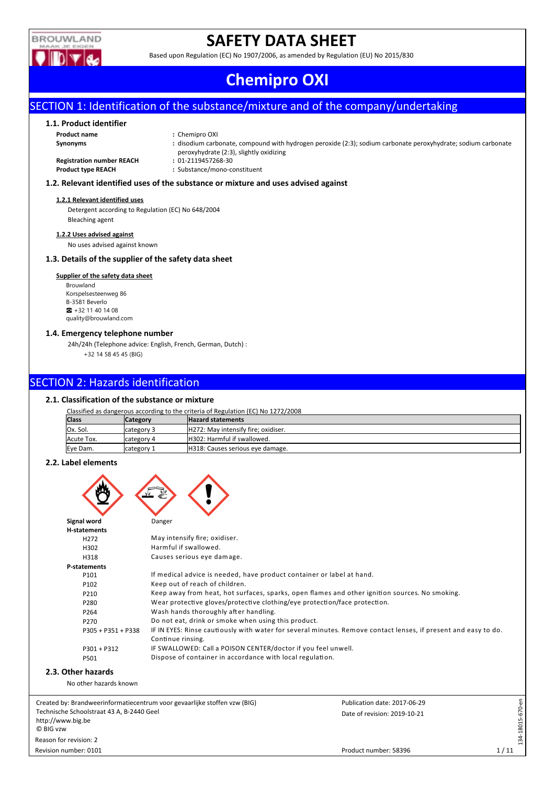

# **SAFETY DATA SHEET**

Based upon Regulation (EC) No 1907/2006, as amended by Regulation (EU) No 2015/830

# **Chemipro OXI**

# SECTION 1: Identification of the substance/mixture and of the company/undertaking

## **1.1. Product identifier**

**Product name :** Chemipro OXI

| Synonyms                         | : disodium carbonate, compound with hydrogen peroxide (2:3); sodium carbonate peroxyhydrate; sodium carbonate |
|----------------------------------|---------------------------------------------------------------------------------------------------------------|
|                                  | peroxyhydrate (2:3), slightly oxidizing                                                                       |
| <b>Registration number REACH</b> | : 01-2119457268-30                                                                                            |

**Product type REACH :** Substance/mono-constituent

#### **1.2. Relevant identified uses of the substance or mixture and uses advised against**

#### **1.2.1 Relevant identified uses**

Detergent according to Regulation (EC) No 648/2004 Bleaching agent

#### **1.2.2 Uses advised against**

No uses advised against known

## **1.3. Details of the supplier of the safety data sheet**

### **Supplier of the safety data sheet**

Brouwland Korspelsesteenweg 86 B-3581 Beverlo ☎ +32 11 40 14 08 quality@brouwland.com

#### **1.4. Emergency telephone number**

24h/24h (Telephone advice: English, French, German, Dutch) : +32 14 58 45 45 (BIG)

# SECTION 2: Hazards identification

### **2.1. Classification of the substance or mixture**

| Classified as dangerous according to the criteria of Regulation (EC) No 1272/2008 |                                             |                                     |  |  |  |  |  |
|-----------------------------------------------------------------------------------|---------------------------------------------|-------------------------------------|--|--|--|--|--|
| <b>Class</b>                                                                      | <b>Hazard statements</b><br><b>Category</b> |                                     |  |  |  |  |  |
| IOx. Sol.                                                                         | category 3                                  | H272: May intensify fire: oxidiser. |  |  |  |  |  |
| Acute Tox.                                                                        | Icategory 4                                 | H302: Harmful if swallowed.         |  |  |  |  |  |
| Eye Dam.                                                                          | category 1                                  | H318: Causes serious eye damage.    |  |  |  |  |  |

### **2.2. Label elements**

| Signal word<br><b>H-statements</b><br>H <sub>272</sub>                                                      | Danger<br>May intensify fire; oxidiser.                                                                                                                                                                                                                                                                                                                                                                                                  |                                                                                                                                                                                                                  |                 |
|-------------------------------------------------------------------------------------------------------------|------------------------------------------------------------------------------------------------------------------------------------------------------------------------------------------------------------------------------------------------------------------------------------------------------------------------------------------------------------------------------------------------------------------------------------------|------------------------------------------------------------------------------------------------------------------------------------------------------------------------------------------------------------------|-----------------|
| H302<br>H318                                                                                                | Harmful if swallowed.<br>Causes serious eye damage.                                                                                                                                                                                                                                                                                                                                                                                      |                                                                                                                                                                                                                  |                 |
| P-statements<br>P101<br>P102<br>P210<br>P280<br>P264<br>P270<br>P305 + P351 + P338<br>$P301 + P312$<br>P501 | If medical advice is needed, have product container or label at hand.<br>Keep out of reach of children.<br>Wear protective gloves/protective clothing/eye protection/face protection.<br>Wash hands thoroughly after handling.<br>Do not eat, drink or smoke when using this product.<br>Continue rinsing.<br>IF SWALLOWED: Call a POISON CENTER/doctor if you feel unwell.<br>Dispose of container in accordance with local regulation. | Keep away from heat, hot surfaces, sparks, open flames and other ignition sources. No smoking.<br>IF IN EYES: Rinse cautiously with water for several minutes. Remove contact lenses, if present and easy to do. |                 |
| 2.3. Other hazards<br>No other hazards known                                                                |                                                                                                                                                                                                                                                                                                                                                                                                                                          |                                                                                                                                                                                                                  |                 |
| Technische Schoolstraat 43 A, B-2440 Geel<br>http://www.big.be<br>C BIG vzw<br>Reason for revision: 2       | Created by: Brandweerinformatiecentrum voor gevaarlijke stoffen vzw (BIG)                                                                                                                                                                                                                                                                                                                                                                | Publication date: 2017-06-29<br>Date of revision: 2019-10-21                                                                                                                                                     | 34-18015-670-en |

134-18015-670-en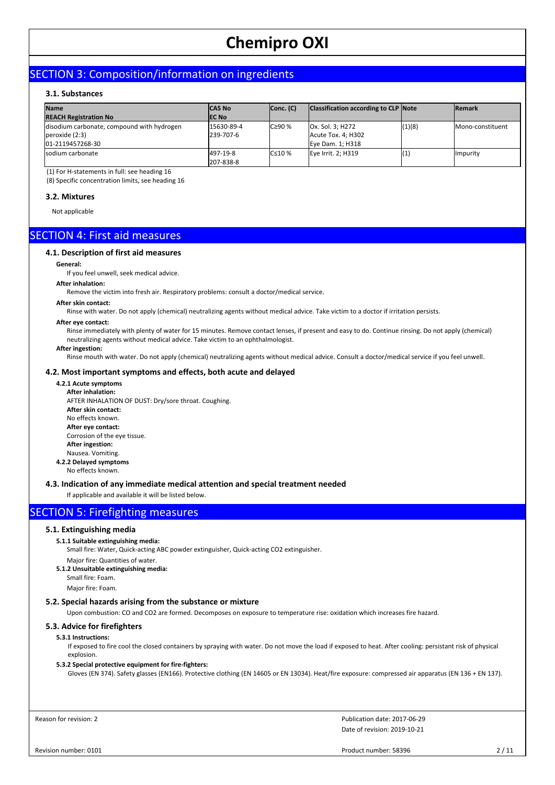# SECTION 3: Composition/information on ingredients

## **3.1. Substances**

| <b>Name</b><br><b>REACH Registration No</b>                                        | <b>ICAS No</b><br><b>IEC No</b> | Conc. (C)      | Classification according to CLP Note                       |        | <b>Remark</b>    |
|------------------------------------------------------------------------------------|---------------------------------|----------------|------------------------------------------------------------|--------|------------------|
| disodium carbonate, compound with hydrogen<br> peroxide (2:3) <br>01-2119457268-30 | 15630-89-4<br>239-707-6         | $C290$ %       | Ox. Sol. 3; H272<br>Acute Tox. 4; H302<br>Eye Dam. 1; H318 | (1)(8) | Mono-constituent |
| Isodium carbonate                                                                  | 497-19-8<br>207-838-8           | $C \leq 10 \%$ | Eye Irrit. 2; H319                                         | (1,    | <b>Ilmpurity</b> |

(1) For H-statements in full: see heading 16

(8) Specific concentration limits, see heading 16

#### **3.2. Mixtures**

Not applicable

# SECTION 4: First aid measures

#### **4.1. Description of first aid measures**

#### **General:**

If you feel unwell, seek medical advice.

#### **After inhalation:**

Remove the victim into fresh air. Respiratory problems: consult a doctor/medical service.

#### **After skin contact:**

Rinse with water. Do not apply (chemical) neutralizing agents without medical advice. Take victim to a doctor if irritation persists.

#### **After eye contact:**

Rinse immediately with plenty of water for 15 minutes. Remove contact lenses, if present and easy to do. Continue rinsing. Do not apply (chemical) neutralizing agents without medical advice. Take victim to an ophthalmologist.

#### **After ingestion:**

Rinse mouth with water. Do not apply (chemical) neutralizing agents without medical advice. Consult a doctor/medical service if you feel unwell.

### **4.2. Most important symptoms and effects, both acute and delayed**

# **4.2.1 Acute symptoms**

**After inhalation:** AFTER INHALATION OF DUST: Dry/sore throat. Coughing. **After skin contact:** No effects known. **After eye contact:** Corrosion of the eye tissue. **After ingestion:** Nausea. Vomiting. **4.2.2 Delayed symptoms** No effects known.

## **4.3. Indication of any immediate medical attention and special treatment needed**

If applicable and available it will be listed below.

# SECTION 5: Firefighting measures

#### **5.1. Extinguishing media**

#### **5.1.1 Suitable extinguishing media:**

Small fire: Water, Quick-acting ABC powder extinguisher, Quick-acting CO2 extinguisher.

- Major fire: Quantities of water.
- **5.1.2 Unsuitable extinguishing media:**
	- Small fire: Foam.

Major fire: Foam.

#### **5.2. Special hazards arising from the substance or mixture**

Upon combustion: CO and CO2 are formed. Decomposes on exposure to temperature rise: oxidation which increases fire hazard.

#### **5.3. Advice for firefighters**

## **5.3.1 Instructions:**

If exposed to fire cool the closed containers by spraying with water. Do not move the load if exposed to heat. After cooling: persistant risk of physical explosion.

#### **5.3.2 Special protective equipment for fire-fighters:**

Gloves (EN 374). Safety glasses (EN166). Protective clothing (EN 14605 or EN 13034). Heat/fire exposure: compressed air apparatus (EN 136 + EN 137).

Reason for revision: 2

Date of revision: 2019-10-21 Publication date: 2017-06-29

Revision number: 0101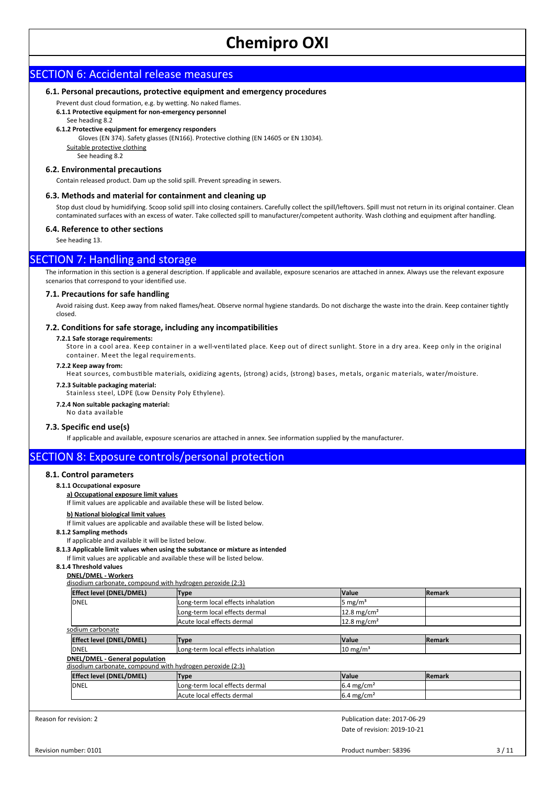# SECTION 6: Accidental release measures

#### **6.1. Personal precautions, protective equipment and emergency procedures**

Prevent dust cloud formation, e.g. by wetting. No naked flames.

- **6.1.1 Protective equipment for non-emergency personnel**
- See heading 8.2
- **6.1.2 Protective equipment for emergency responders**
	- Gloves (EN 374). Safety glasses (EN166). Protective clothing (EN 14605 or EN 13034).

Suitable protective clothing See heading 8.2

## **6.2. Environmental precautions**

Contain released product. Dam up the solid spill. Prevent spreading in sewers.

#### **6.3. Methods and material for containment and cleaning up**

Stop dust cloud by humidifying. Scoop solid spill into closing containers. Carefully collect the spill/leftovers. Spill must not return in its original container. Clean contaminated surfaces with an excess of water. Take collected spill to manufacturer/competent authority. Wash clothing and equipment after handling.

#### **6.4. Reference to other sections**

See heading 13.

# SECTION 7: Handling and storage

The information in this section is a general description. If applicable and available, exposure scenarios are attached in annex. Always use the relevant exposure scenarios that correspond to your identified use.

#### **7.1. Precautions for safe handling**

Avoid raising dust. Keep away from naked flames/heat. Observe normal hygiene standards. Do not discharge the waste into the drain. Keep container tightly closed.

#### **7.2. Conditions for safe storage, including any incompatibilities**

#### **7.2.1 Safe storage requirements:**

Store in a cool area. Keep container in a well-ventilated place. Keep out of direct sunlight. Store in a dry area. Keep only in the original container. Meet the legal requirements.

#### **7.2.2 Keep away from:**

Heat sources, combustible materials, oxidizing agents, (strong) acids, (strong) bases, metals, organic materials, water/moisture.

#### **7.2.3 Suitable packaging material:**

Stainless steel, LDPE (Low Density Poly Ethylene).

## **7.2.4 Non suitable packaging material:**

No data available

#### **7.3. Specific end use(s)**

If applicable and available, exposure scenarios are attached in annex. See information supplied by the manufacturer.

# SECTION 8: Exposure controls/personal protection

#### **8.1. Control parameters**

**8.1.1 Occupational exposure**

#### **a) Occupational exposure limit values**

#### If limit values are applicable and available these will be listed below.

#### **b) National biological limit values**

If limit values are applicable and available these will be listed below.

- **8.1.2 Sampling methods**
- If applicable and available it will be listed below.
- **8.1.3 Applicable limit values when using the substance or mixture as intended**

If limit values are applicable and available these will be listed below.

**8.1.4 Threshold values**

#### **DNEL/DMEL - Workers**

| disodium carbonate, compound with hydrogen peroxide (2:3)                                   |                                    |                        |                |  |
|---------------------------------------------------------------------------------------------|------------------------------------|------------------------|----------------|--|
| <b>Effect level (DNEL/DMEL)</b>                                                             | Type                               | <b>Value</b>           | lRemark        |  |
| <b>DNEL</b>                                                                                 | Long-term local effects inhalation | $5 \text{ mg/m}^3$     |                |  |
|                                                                                             | Long-term local effects dermal     | $12.8 \text{ mg/cm}^2$ |                |  |
|                                                                                             | Acute local effects dermal         | $12.8 \text{ mg/cm}^2$ |                |  |
| sodium carbonate                                                                            |                                    |                        |                |  |
| <b>Effect level (DNEL/DMEL)</b>                                                             | <b>Type</b>                        | <b>Value</b>           | <b>IRemark</b> |  |
| <b>DNEL</b>                                                                                 | Long-term local effects inhalation | $10 \text{ mg/m}^3$    |                |  |
| DNEL/DMEL - General population<br>disodium carbonate, compound with hydrogen peroxide (2:3) |                                    |                        |                |  |
| <b>Effect level (DNEL/DMEL)</b>                                                             | <b>Type</b>                        | <b>Value</b>           | lRemark        |  |
| <b>DNEL</b>                                                                                 | Long-term local effects dermal     | $6.4 \text{ mg/cm}^2$  |                |  |
|                                                                                             | Acute local effects dermal         | $6.4 \text{ mg/cm}^2$  |                |  |

Reason for revision: 2

Date of revision: 2019-10-21 Publication date: 2017-06-29

Product number: 58396 3/11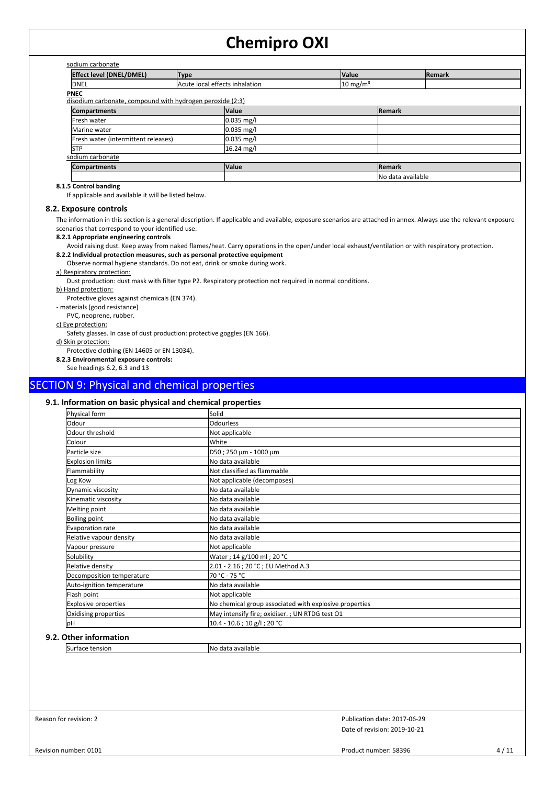| <b>Effect level (DNEL/DMEL)</b>                                          | <b>Type</b>                    |              | <b>Value</b>        |                    | <b>Remark</b> |
|--------------------------------------------------------------------------|--------------------------------|--------------|---------------------|--------------------|---------------|
| <b>IDNEL</b>                                                             | Acute local effects inhalation |              | $10 \text{ mg/m}^3$ |                    |               |
| <b>PNEC</b><br>disodium carbonate, compound with hydrogen peroxide (2:3) |                                |              |                     |                    |               |
| <b>Compartments</b>                                                      |                                | <b>Value</b> |                     | <b>Remark</b>      |               |
| Fresh water                                                              |                                | $0.035$ mg/l |                     |                    |               |
| Marine water                                                             |                                | $0.035$ mg/l |                     |                    |               |
| Fresh water (intermittent releases)                                      |                                | $0.035$ mg/l |                     |                    |               |
| <b>STP</b>                                                               |                                | $16.24$ mg/l |                     |                    |               |
| sodium carbonate                                                         |                                |              |                     |                    |               |
| <b>Compartments</b>                                                      |                                | <b>Value</b> |                     | Remark             |               |
|                                                                          |                                |              |                     | INo data available |               |

## **8.1.5 Control banding**

If applicable and available it will be listed below.

#### **8.2. Exposure controls**

The information in this section is a general description. If applicable and available, exposure scenarios are attached in annex. Always use the relevant exposure scenarios that correspond to your identified use.

#### **8.2.1 Appropriate engineering controls**

Avoid raising dust. Keep away from naked flames/heat. Carry operations in the open/under local exhaust/ventilation or with respiratory protection.

#### **8.2.2 Individual protection measures, such as personal protective equipment**

Observe normal hygiene standards. Do not eat, drink or smoke during work.

#### a) Respiratory protection:

Dust production: dust mask with filter type P2. Respiratory protection not required in normal conditions.

#### b) Hand protection:

Protective gloves against chemicals (EN 374).

- materials (good resistance)

PVC, neoprene, rubber.

c) Eye protection:

Safety glasses. In case of dust production: protective goggles (EN 166).

d) Skin protection: Protective clothing (EN 14605 or EN 13034).

**8.2.3 Environmental exposure controls:**

See headings 6.2, 6.3 and 13

# SECTION 9: Physical and chemical properties

#### **9.1. Information on basic physical and chemical properties**

| Physical form               | Solid                                                  |
|-----------------------------|--------------------------------------------------------|
| Odour                       | <b>Odourless</b>                                       |
| Odour threshold             | Not applicable                                         |
| Colour                      | White                                                  |
| Particle size               | D50 ; 250 µm - 1000 µm                                 |
| <b>Explosion limits</b>     | No data available                                      |
| Flammability                | Not classified as flammable                            |
| Log Kow                     | Not applicable (decomposes)                            |
| Dynamic viscosity           | No data available                                      |
| Kinematic viscosity         | No data available                                      |
| Melting point               | No data available                                      |
| <b>Boiling point</b>        | No data available                                      |
| Evaporation rate            | No data available                                      |
| Relative vapour density     | No data available                                      |
| Vapour pressure             | Not applicable                                         |
| Solubility                  | Water ; 14 g/100 ml ; 20 °C                            |
| Relative density            | 2.01 - 2.16 ; 20 °C ; EU Method A.3                    |
| Decomposition temperature   | 70 °C - 75 °C                                          |
| Auto-ignition temperature   | No data available                                      |
| Flash point                 | Not applicable                                         |
| <b>Explosive properties</b> | No chemical group associated with explosive properties |
| Oxidising properties        | May intensify fire; oxidiser. ; UN RTDG test O1        |
| pH                          | $10.4 - 10.6$ ; 10 g/l; 20 °C                          |

### **9.2. Other information**

Surface tension and a set of the No data available

Reason for revision: 2

Date of revision: 2019-10-21 Publication date: 2017-06-29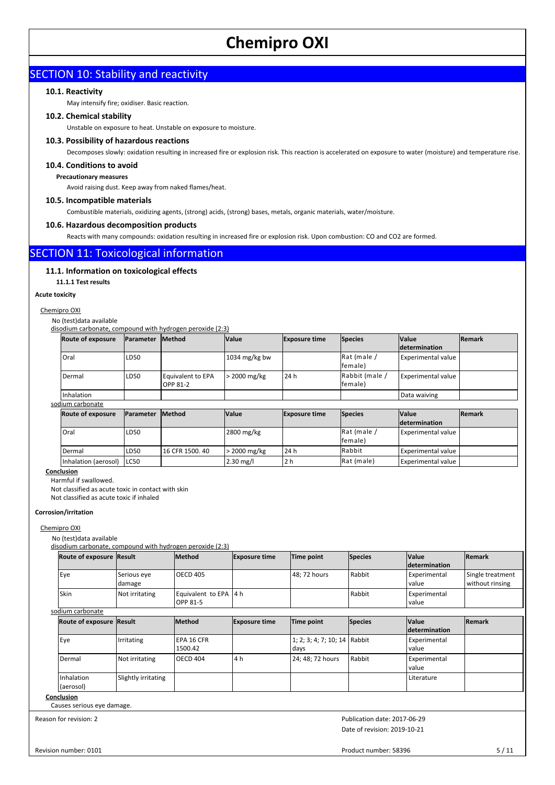# **SECTION 10: Stability and reactivity**

## **10.1. Reactivity**

May intensify fire; oxidiser. Basic reaction.

### **10.2. Chemical stability**

Unstable on exposure to heat. Unstable on exposure to moisture.

## **10.3. Possibility of hazardous reactions**

Decomposes slowly: oxidation resulting in increased fire or explosion risk. This reaction is accelerated on exposure to water (moisture) and temperature rise.

#### **10.4. Conditions to avoid**

**Precautionary measures**

Avoid raising dust. Keep away from naked flames/heat.

#### **10.5. Incompatible materials**

Combustible materials, oxidizing agents, (strong) acids, (strong) bases, metals, organic materials, water/moisture.

## **10.6. Hazardous decomposition products**

Reacts with many compounds: oxidation resulting in increased fire or explosion risk. Upon combustion: CO and CO2 are formed.

# SECTION 11: Toxicological information

### **11.1. Information on toxicological effects**

**11.1.1 Test results**

#### **Acute toxicity**

Chemipro OXI

#### No (test)data available

disodium carbonate, compound with hydrogen peroxide (2:3)

| <b>Route of exposure</b> | <b>IParameter IMethod</b> |                   | <b>Nalue</b>            | <b>Exposure time</b> | <b>Species</b> | <b>Value</b>              | <b>IRemark</b> |
|--------------------------|---------------------------|-------------------|-------------------------|----------------------|----------------|---------------------------|----------------|
|                          |                           |                   |                         |                      |                | <b>determination</b>      |                |
| Oral                     | LD <sub>50</sub>          |                   | $1034 \text{ mg/kg}$ bw |                      | Rat (male /    | <b>Experimental value</b> |                |
|                          |                           |                   |                         |                      | lfemale)       |                           |                |
| Dermal                   | LD <sub>50</sub>          | Equivalent to EPA | > 2000 mg/kg            | 24 h                 | Rabbit (male / | <b>Experimental value</b> |                |
|                          |                           | OPP 81-2          |                         |                      | lfemale)       |                           |                |
| Inhalation               |                           |                   |                         |                      |                | Data waiving              |                |

sodium carbonate

| Route of exposure    | <b>IParameter</b> | <b>IMethod</b>    | <b>Value</b>   | <b>Exposure time</b> | <b>Species</b> | <b>Value</b>              | <b>IRemark</b> |
|----------------------|-------------------|-------------------|----------------|----------------------|----------------|---------------------------|----------------|
|                      |                   |                   |                |                      |                | <i>determination</i>      |                |
| l Oral               | LD <sub>50</sub>  |                   | 2800 mg/kg     |                      | Rat (male /    | <b>Experimental value</b> |                |
|                      |                   |                   |                |                      | lfemale)       |                           |                |
| Dermal               | LD50              | l 16 CFR 1500. 40 | $>$ 2000 mg/kg | 24 h                 | <b>Rabbit</b>  | <b>Experimental value</b> |                |
| Inhalation (aerosol) | LC50              |                   | $2.30$ mg/l    | 2 h                  | Rat (male)     | <b>Experimental value</b> |                |

## **Conclusion**

Harmful if swallowed. Not classified as acute toxic in contact with skin Not classified as acute toxic if inhaled

#### **Corrosion/irritation**

Chemipro OXI

No (test)data available

disodium carbonate, compound with hydrogen peroxide (2:3)

| <b>Route of exposure Result</b> |                       | <b>Method</b>                              | <b>Exposure time</b> | Time point                           | <b>Species</b> | <b>Value</b><br><b>Idetermination</b> | Remark                              |
|---------------------------------|-----------------------|--------------------------------------------|----------------------|--------------------------------------|----------------|---------------------------------------|-------------------------------------|
| Eye                             | Serious eye<br>damage | <b>OECD 405</b>                            |                      | 48; 72 hours                         | Rabbit         | Experimental<br>value                 | Single treatment<br>without rinsing |
| Skin                            | Not irritating        | Equivalent to EPA   4 h<br><b>OPP 81-5</b> |                      |                                      | Rabbit         | Experimental<br>value                 |                                     |
| sodium carbonate                |                       |                                            |                      |                                      |                |                                       |                                     |
| Route of exposure Result        |                       | <b>Method</b>                              | <b>Exposure time</b> | Time point                           | <b>Species</b> | <b>Value</b><br>determination         | Remark                              |
| Eye                             | Irritating            | EPA 16 CFR<br>1500.42                      |                      | 1; 2; 3; 4; 7; 10; 14 Rabbit<br>days |                | Experimental<br>value                 |                                     |
| Dermal                          | Not irritating        | <b>OECD 404</b>                            | l 4 h                | 24; 48; 72 hours                     | Rabbit         | Experimental<br>value                 |                                     |
| Inhalation<br>(aerosol)         | Slightly irritating   |                                            |                      |                                      |                | Literature                            |                                     |
| Conclusion                      |                       |                                            |                      |                                      |                |                                       |                                     |

Causes serious eye damage.

Reason for revision: 2

Date of revision: 2019-10-21 Publication date: 2017-06-29

Revision number: 0101

Product number: 58396 5/11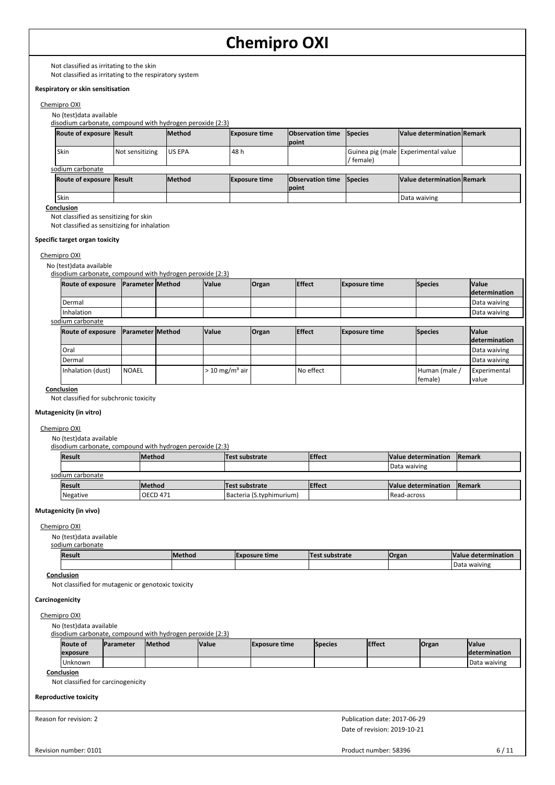Not classified as irritating to the skin

Not classified as irritating to the respiratory system

## **Respiratory or skin sensitisation**

## Chemipro OXI

No (test)data available

disodium carbonate, compound with hydrogen peroxide (2:3)

|                  | <b>Route of exposure Result</b> |                 | <b>Method</b>  | <b>Exposure time</b> | <b>Observation time</b> Species |           | Value determination Remark          |  |  |
|------------------|---------------------------------|-----------------|----------------|----------------------|---------------------------------|-----------|-------------------------------------|--|--|
|                  |                                 |                 |                |                      | point                           |           |                                     |  |  |
|                  | Skin                            | Not sensitizing | <b>JUS EPA</b> | 48 h                 |                                 | ' female) | Guinea pig (male Experimental value |  |  |
| sodium carbonate |                                 |                 |                |                      |                                 |           |                                     |  |  |
|                  | <b>Route of exposure Result</b> |                 | <b>Method</b>  | <b>Exposure time</b> | <b>Observation time</b> Species |           | Value determination Remark          |  |  |
|                  |                                 |                 |                |                      | point                           |           |                                     |  |  |
|                  | Skin                            |                 |                |                      |                                 |           | Data waiving                        |  |  |

### **Conclusion**

Not classified as sensitizing for skin Not classified as sensitizing for inhalation

**Specific target organ toxicity**

#### Chemipro OXI

No (test)data available

disodium carbonate, compound with hydrogen peroxide (2:3)

| Route of exposure Parameter Method |  | <b>Value</b> | Organ | <b>Effect</b> | <b>Exposure time</b> | <b>Species</b> | <b>Value</b>          |
|------------------------------------|--|--------------|-------|---------------|----------------------|----------------|-----------------------|
|                                    |  |              |       |               |                      |                | <b>Idetermination</b> |
| Dermal                             |  |              |       |               |                      |                | Data waiving          |
| Inhalation                         |  |              |       |               |                      |                | Data waiving          |
|                                    |  |              |       |               |                      |                |                       |

sodium carbonate

| Route of exposure | <b>Parameter Method</b> | <b>Value</b>                         | <b>Organ</b> | <b>Effect</b> | <b>Exposure time</b> | <b>Species</b> | <b>Value</b>         |
|-------------------|-------------------------|--------------------------------------|--------------|---------------|----------------------|----------------|----------------------|
|                   |                         |                                      |              |               |                      |                | <b>determination</b> |
| Oral              |                         |                                      |              |               |                      |                | Data waiving         |
| Dermal            |                         |                                      |              |               |                      |                | Data waiving         |
| Inhalation (dust) | <b>NOAEL</b>            | $> 10$ mg/m <sup>3</sup> air $\vert$ |              | No effect     |                      | Human (male    | Experimental         |
|                   |                         |                                      |              |               |                      | female)        | value                |

#### **Conclusion**

Not classified for subchronic toxicity

#### **Mutagenicity (in vitro)**

#### Chemipro OXI

No (test)data available

disodium carbonate, compound with hydrogen peroxide (2:3)

| Result           | <b>Method</b>   | <b>Test substrate</b>    | <b>Effect</b> | Value determination  | <b>IRemark</b> |
|------------------|-----------------|--------------------------|---------------|----------------------|----------------|
|                  |                 |                          |               | Data waiving         |                |
| sodium carbonate |                 |                          |               |                      |                |
| <b>Result</b>    | <b>Method</b>   | <b>Test substrate</b>    | <b>Effect</b> | Value determination  | Remark         |
| Negative         | <b>OECD 471</b> | Bacteria (S.typhimurium) |               | <b>I</b> Read-across |                |

#### **Mutagenicity (in vivo)**

Chemipro OXI

No (test)data available

| sodium carbonate |
|------------------|

| Result | <b>IMethod</b> | <b>IExp</b><br>posure time | <b>Test substrate</b> | <b>Organ</b> | <b>Value</b><br><u>•rmır</u><br><b>A</b> PTP |
|--------|----------------|----------------------------|-----------------------|--------------|----------------------------------------------|
|        |                |                            |                       |              | Data<br>waiving                              |
|        |                |                            |                       |              |                                              |

# **Conclusion**

Not classified for mutagenic or genotoxic toxicity

#### **Carcinogenicity**

Chemipro OXI

No (test)data available

disodium carbonate, compound with hydrogen peroxide (2:3)

| <b>Route of</b> | <b>IParameter</b> | <b>Method</b> | <b>Value</b> | <b>Exposure time</b> | <b>Species</b> | <b>IEffect</b> | Organ | <b>Value</b>          |
|-----------------|-------------------|---------------|--------------|----------------------|----------------|----------------|-------|-----------------------|
| lexposure       |                   |               |              |                      |                |                |       | <b>Idetermination</b> |
| Unknown         |                   |               |              |                      |                |                |       | l Data waiving        |

#### **Conclusion**

Not classified for carcinogenicity

#### **Reproductive toxicity**

Reason for revision: 2

Date of revision: 2019-10-21 Publication date: 2017-06-29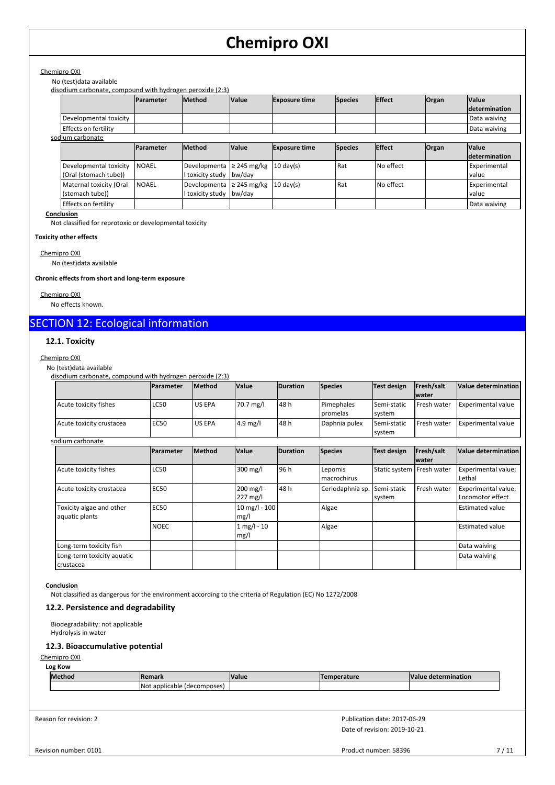# Chemipro OXI

## No (test)data available

disodium carbonate, compound with hydrogen peroxide (2:3)

|                                                 | <b>IParameter</b> | <b>Method</b>                    | <b>Value</b>               | <b>Exposure time</b> | <b>Species</b> | Effect    | <b>Organ</b> | <b>Value</b><br><i>determination</i> |
|-------------------------------------------------|-------------------|----------------------------------|----------------------------|----------------------|----------------|-----------|--------------|--------------------------------------|
| Developmental toxicity                          |                   |                                  |                            |                      |                |           |              | Data waiving                         |
| Effects on fertility                            |                   |                                  |                            |                      |                |           |              | Data waiving                         |
| sodium carbonate                                |                   |                                  |                            |                      |                |           |              |                                      |
|                                                 | <b>IParameter</b> | <b>Method</b>                    | <b>Value</b>               | <b>Exposure time</b> | <b>Species</b> | Effect    | <b>Organ</b> | <b>Value</b><br><i>determination</i> |
| Developmental toxicity<br>(Oral (stomach tube)) | <b>NOAEL</b>      | Developmenta<br>I toxicity study | $\geq$ 245 mg/kg<br>bw/day | $10 \text{ day(s)}$  | Rat            | No effect |              | <b>Experimental</b><br>value         |
| Maternal toxicity (Oral<br>(stomach tube))      | <b>NOAEL</b>      | Developmenta<br>I toxicity study | $\geq$ 245 mg/kg<br>bw/day | $10 \text{ day(s)}$  | Rat            | No effect |              | Experimental<br>value                |
| Effects on fertility                            |                   |                                  |                            |                      |                |           |              | Data waiving                         |

**Conclusion**

Not classified for reprotoxic or developmental toxicity

#### **Toxicity other effects**

Chemipro OXI

No (test)data available

### **Chronic effects from short and long-term exposure**

Chemipro OXI

No effects known.

# SECTION 12: Ecological information

# **12.1. Toxicity**

#### $C$ h

| <u>nemipro OXI</u>                                        |                  |               |                           |                 |                        |                             |                            |                                         |
|-----------------------------------------------------------|------------------|---------------|---------------------------|-----------------|------------------------|-----------------------------|----------------------------|-----------------------------------------|
| No (test) data available                                  |                  |               |                           |                 |                        |                             |                            |                                         |
| disodium carbonate, compound with hydrogen peroxide (2:3) |                  |               |                           |                 |                        |                             |                            |                                         |
|                                                           | Parameter        | <b>Method</b> | Value                     | <b>Duration</b> | <b>Species</b>         | Test design                 | Fresh/salt<br><b>water</b> | Value determination                     |
| Acute toxicity fishes                                     | <b>LC50</b>      | US EPA        | 70.7 mg/l                 | 48 h            | Pimephales<br>promelas | Semi-static<br>system       | Fresh water                | Experimental value                      |
| Acute toxicity crustacea                                  | <b>EC50</b>      | US EPA        | $4.9$ mg/l                | 48 h            | Daphnia pulex          | Semi-static<br>system       | Fresh water                | <b>Experimental value</b>               |
| sodium carbonate                                          |                  |               |                           |                 |                        |                             |                            |                                         |
|                                                           | <b>Parameter</b> | Method        | Value                     | <b>Duration</b> | <b>Species</b>         | <b>Test design</b>          | Fresh/salt<br><b>water</b> | Value determination                     |
| Acute toxicity fishes                                     | <b>LC50</b>      |               | 300 mg/l                  | 96 h            | Lepomis<br>macrochirus | Static system   Fresh water |                            | Experimental value;<br>Lethal           |
| Acute toxicity crustacea                                  | <b>EC50</b>      |               | 200 mg/l -<br>227 mg/l    | 48h             | Ceriodaphnia sp.       | Semi-static<br>system       | Fresh water                | Experimental value;<br>Locomotor effect |
| Toxicity algae and other<br>aquatic plants                | <b>EC50</b>      |               | $10$ mg/l - $100$<br>mg/l |                 | Algae                  |                             |                            | <b>Estimated value</b>                  |
|                                                           | <b>NOEC</b>      |               | $1 mg/l - 10$<br>mg/l     |                 | Algae                  |                             |                            | <b>Estimated value</b>                  |
| Long-term toxicity fish                                   |                  |               |                           |                 |                        |                             |                            | Data waiving                            |
| Long-term toxicity aquatic<br>crustacea                   |                  |               |                           |                 |                        |                             |                            | Data waiving                            |

#### **Conclusion**

Not classified as dangerous for the environment according to the criteria of Regulation (EC) No 1272/2008

# **12.2. Persistence and degradability**

Biodegradability: not applicable Hydrolysis in water

# **12.3. Bioaccumulative potential**

Chemipro OXI

#### **Log Kow**

| IMethod | <b>Remark</b>                       | <b>Value</b> | Temperature | <b>Value</b><br>determination : |
|---------|-------------------------------------|--------------|-------------|---------------------------------|
|         | (decomposes)<br>lNot.<br>applicable |              |             |                                 |

Reason for revision: 2

Date of revision: 2019-10-21 Publication date: 2017-06-29

Revision number: 0101

Product number: 58396 7/11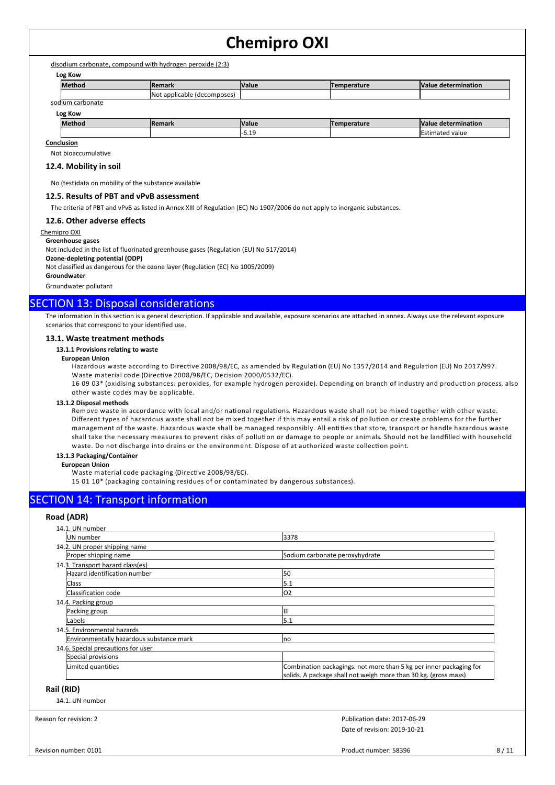disodium carbonate, compound with hydrogen peroxide (2:3)

**Log Kow**

| Method              | <b>Remark</b>                   | <b>Value</b> | <b>Temperature</b> | <b>Nalue</b><br>e determination |
|---------------------|---------------------------------|--------------|--------------------|---------------------------------|
|                     | INot applicable<br>(decomposes) |              |                    |                                 |
| sodium<br>carbonate |                                 |              |                    |                                 |

#### **Log Kow**

| LUS INUW      |                     |                    |               |                           |
|---------------|---------------------|--------------------|---------------|---------------------------|
| <b>Methoo</b> | $D_{\alpha}$<br>нан | <b>Value</b>       | anoraturo<br> | lValue<br>: determination |
|               |                     | $\Delta$<br>- U.LJ |               | value                     |
|               |                     |                    |               |                           |

### **Conclusion**

Not bioaccumulative

#### **12.4. Mobility in soil**

No (test)data on mobility of the substance available

#### **12.5. Results of PBT and vPvB assessment**

The criteria of PBT and vPvB as listed in Annex XIII of Regulation (EC) No 1907/2006 do not apply to inorganic substances.

#### **12.6. Other adverse effects**

Chemipro OXI

# **Greenhouse gases**

Not included in the list of fluorinated greenhouse gases (Regulation (EU) No 517/2014)

**Ozone-depleting potential (ODP)**

Not classified as dangerous for the ozone layer (Regulation (EC) No 1005/2009)

**Groundwater**

Groundwater pollutant

# SECTION 13: Disposal considerations

The information in this section is a general description. If applicable and available, exposure scenarios are attached in annex. Always use the relevant exposure scenarios that correspond to your identified use.

#### **13.1. Waste treatment methods**

#### **13.1.1 Provisions relating to waste**

#### **European Union**

Hazardous waste according to Directive 2008/98/EC, as amended by Regulation (EU) No 1357/2014 and Regulation (EU) No 2017/997. Waste material code (Directive 2008/98/EC, Decision 2000/0532/EC).

16 09 03\* (oxidising substances: peroxides, for example hydrogen peroxide). Depending on branch of industry and production process, also other waste codes may be applicable.

#### **13.1.2 Disposal methods**

Remove waste in accordance with local and/or national regulations. Hazardous waste shall not be mixed together with other waste. Different types of hazardous waste shall not be mixed together if this may entail a risk of pollution or create problems for the further management of the waste. Hazardous waste shall be managed responsibly. All entities that store, transport or handle hazardous waste shall take the necessary measures to prevent risks of pollution or damage to people or animals. Should not be landfilled with household waste. Do not discharge into drains or the environment. Dispose of at authorized waste collection point.

#### **13.1.3 Packaging/Container**

#### **European Union**

Waste material code packaging (Directive 2008/98/EC).

15 01 10\* (packaging containing residues of or contaminated by dangerous substances).

# SECTION 14: Transport information

### **Road (ADR)**

| 14.1. UN number                          |                                                                    |
|------------------------------------------|--------------------------------------------------------------------|
| UN number                                | 3378                                                               |
| 14.2. UN proper shipping name            |                                                                    |
| Proper shipping name                     | Sodium carbonate peroxyhydrate                                     |
| 14.3. Transport hazard class(es)         |                                                                    |
| Hazard identification number             | 50                                                                 |
| <b>Class</b>                             | 5.1                                                                |
| Classification code                      | 02                                                                 |
| 14.4. Packing group                      |                                                                    |
| Packing group                            | IШ                                                                 |
| Labels                                   | 5.1                                                                |
| 14.5. Environmental hazards              |                                                                    |
| Environmentally hazardous substance mark | Ino                                                                |
| 14.6. Special precautions for user       |                                                                    |
| Special provisions                       |                                                                    |
| Limited quantities                       | Combination packagings: not more than 5 kg per inner packaging for |
|                                          | solids. A package shall not weigh more than 30 kg. (gross mass)    |

# **Rail (RID)**

| 14.1. UN number |
|-----------------|
|-----------------|

Reason for revision: 2

Date of revision: 2019-10-21 Publication date: 2017-06-29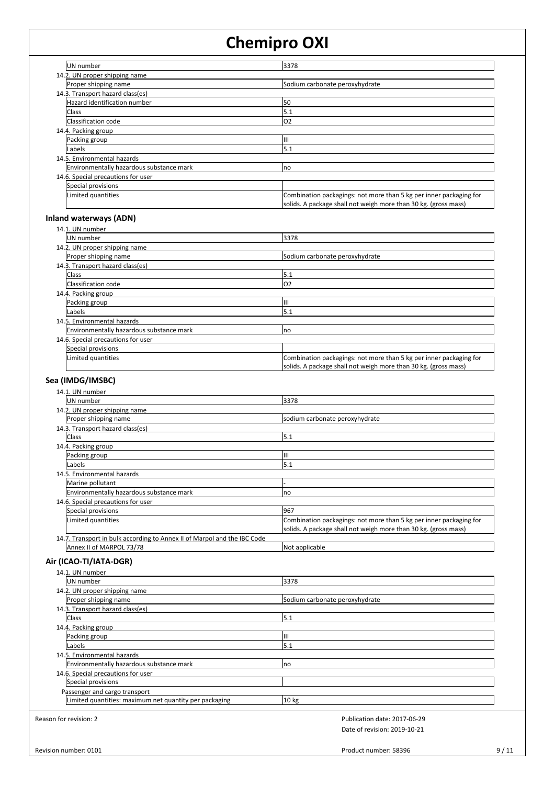| UN number                                | 3378                                                                                                                                  |
|------------------------------------------|---------------------------------------------------------------------------------------------------------------------------------------|
| 14.2. UN proper shipping name            |                                                                                                                                       |
| Proper shipping name                     | Sodium carbonate peroxyhydrate                                                                                                        |
| 14.3. Transport hazard class(es)         |                                                                                                                                       |
| Hazard identification number             | 50                                                                                                                                    |
| <b>Class</b>                             | 5.1                                                                                                                                   |
| Classification code                      | lO2                                                                                                                                   |
| 14.4. Packing group                      |                                                                                                                                       |
| Packing group                            | Ш                                                                                                                                     |
| Labels                                   | 5.1                                                                                                                                   |
| 14.5. Environmental hazards              |                                                                                                                                       |
| Environmentally hazardous substance mark | <b>no</b>                                                                                                                             |
| 14.6. Special precautions for user       |                                                                                                                                       |
| Special provisions                       |                                                                                                                                       |
| Limited quantities                       | Combination packagings: not more than 5 kg per inner packaging for<br>solids. A package shall not weigh more than 30 kg. (gross mass) |

# **Inland waterways (ADN)**

| 14.1. UN number     |                                          |                                                                                                                                       |
|---------------------|------------------------------------------|---------------------------------------------------------------------------------------------------------------------------------------|
| UN number           |                                          | 3378                                                                                                                                  |
|                     | 14.2. UN proper shipping name            |                                                                                                                                       |
|                     | Proper shipping name                     | Sodium carbonate peroxyhydrate                                                                                                        |
|                     | 14.3. Transport hazard class(es)         |                                                                                                                                       |
| <b>Class</b>        |                                          | 5.1                                                                                                                                   |
|                     | Classification code                      | lO2                                                                                                                                   |
| 14.4. Packing group |                                          |                                                                                                                                       |
| Packing group       |                                          | Ш                                                                                                                                     |
| Labels              |                                          | 5.1                                                                                                                                   |
|                     | 14.5. Environmental hazards              |                                                                                                                                       |
|                     | Environmentally hazardous substance mark | <b>no</b>                                                                                                                             |
|                     | 14.6. Special precautions for user       |                                                                                                                                       |
|                     | Special provisions                       |                                                                                                                                       |
|                     | Limited quantities                       | Combination packagings: not more than 5 kg per inner packaging for<br>solids. A package shall not weigh more than 30 kg. (gross mass) |
|                     |                                          |                                                                                                                                       |

# **Sea (IMDG/IMSBC)**

| 14.1. UN number                                                          |                                                                    |
|--------------------------------------------------------------------------|--------------------------------------------------------------------|
| UN number                                                                | 3378                                                               |
| 14.2. UN proper shipping name                                            |                                                                    |
| Proper shipping name                                                     | sodium carbonate peroxyhydrate                                     |
| 14.3. Transport hazard class(es)                                         |                                                                    |
| <b>Class</b>                                                             | 5.1                                                                |
| 14.4. Packing group                                                      |                                                                    |
| Packing group                                                            | Ш                                                                  |
| Labels                                                                   | 5.1                                                                |
| 14.5. Environmental hazards                                              |                                                                    |
| Marine pollutant                                                         |                                                                    |
| Environmentally hazardous substance mark                                 | Ino                                                                |
| 14.6. Special precautions for user                                       |                                                                    |
| Special provisions                                                       | 967                                                                |
| Limited quantities                                                       | Combination packagings: not more than 5 kg per inner packaging for |
|                                                                          | solids. A package shall not weigh more than 30 kg. (gross mass)    |
| 14.7. Transport in bulk according to Annex II of Marpol and the IBC Code |                                                                    |
| Annex II of MARPOL 73/78                                                 | Not applicable                                                     |

# **Air (ICAO-TI/IATA-DGR)**

| 14.1. UN number                                        |                                |
|--------------------------------------------------------|--------------------------------|
| UN number                                              | 3378                           |
| 14.2. UN proper shipping name                          |                                |
| Proper shipping name                                   | Sodium carbonate peroxyhydrate |
| 14.3. Transport hazard class(es)                       |                                |
| <b>Class</b>                                           | 5.1                            |
| 14.4. Packing group                                    |                                |
| Packing group                                          | IШ                             |
| Labels                                                 | 5.1                            |
| 14.5. Environmental hazards                            |                                |
| Environmentally hazardous substance mark               | Ino                            |
| 14.6. Special precautions for user                     |                                |
| Special provisions                                     |                                |
| Passenger and cargo transport                          |                                |
| Limited quantities: maximum net quantity per packaging | 10 <sub>kg</sub>               |
| son for revision: 2                                    | Publication date: 2017-06-29   |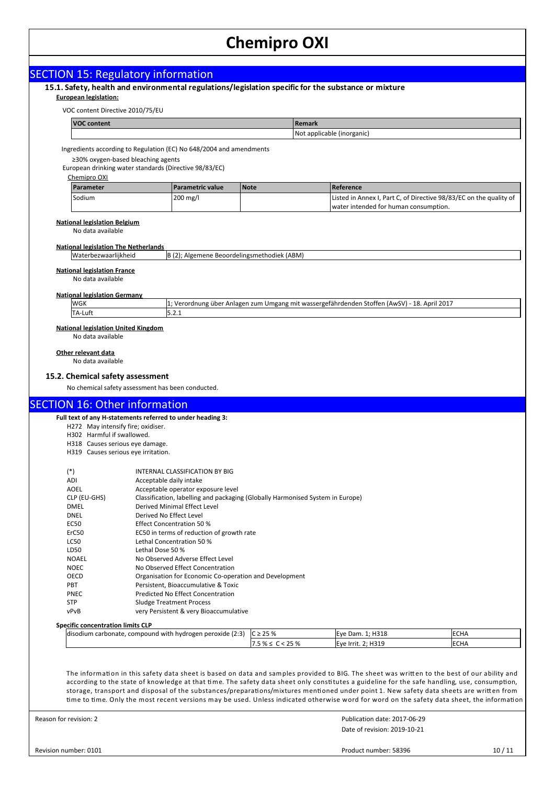| <b>SECTION 15: Regulatory information</b><br>15.1. Safety, health and environmental regulations/legislation specific for the substance or mixture<br><b>European legislation:</b><br>VOC content Directive 2010/75/EU<br><b>VOC content</b><br>Ingredients according to Regulation (EC) No 648/2004 and amendments<br>≥30% oxygen-based bleaching agents<br>European drinking water standards (Directive 98/83/EC)<br>Chemipro OXI<br>Parameter<br>Sodium<br><b>National legislation Belgium</b><br>No data available<br><b>National legislation The Netherlands</b><br>Waterbezwaarlijkheid<br><b>National legislation France</b><br>No data available<br><b>National legislation Germany</b><br>WGK<br>TA-Luft<br><b>National legislation United Kingdom</b> | <b>Parametric value</b><br>200 mg/l                                                           | Remark<br><b>Note</b><br>B (2); Algemene Beoordelingsmethodiek (ABM)           | Not applicable (inorganic)<br>Reference<br>Listed in Annex I, Part C, of Directive 98/83/EC on the quality of<br>water intended for human consumption. |             |
|----------------------------------------------------------------------------------------------------------------------------------------------------------------------------------------------------------------------------------------------------------------------------------------------------------------------------------------------------------------------------------------------------------------------------------------------------------------------------------------------------------------------------------------------------------------------------------------------------------------------------------------------------------------------------------------------------------------------------------------------------------------|-----------------------------------------------------------------------------------------------|--------------------------------------------------------------------------------|--------------------------------------------------------------------------------------------------------------------------------------------------------|-------------|
|                                                                                                                                                                                                                                                                                                                                                                                                                                                                                                                                                                                                                                                                                                                                                                |                                                                                               |                                                                                |                                                                                                                                                        |             |
|                                                                                                                                                                                                                                                                                                                                                                                                                                                                                                                                                                                                                                                                                                                                                                |                                                                                               |                                                                                |                                                                                                                                                        |             |
|                                                                                                                                                                                                                                                                                                                                                                                                                                                                                                                                                                                                                                                                                                                                                                |                                                                                               |                                                                                |                                                                                                                                                        |             |
|                                                                                                                                                                                                                                                                                                                                                                                                                                                                                                                                                                                                                                                                                                                                                                |                                                                                               |                                                                                |                                                                                                                                                        |             |
|                                                                                                                                                                                                                                                                                                                                                                                                                                                                                                                                                                                                                                                                                                                                                                |                                                                                               |                                                                                |                                                                                                                                                        |             |
|                                                                                                                                                                                                                                                                                                                                                                                                                                                                                                                                                                                                                                                                                                                                                                |                                                                                               |                                                                                |                                                                                                                                                        |             |
|                                                                                                                                                                                                                                                                                                                                                                                                                                                                                                                                                                                                                                                                                                                                                                |                                                                                               |                                                                                |                                                                                                                                                        |             |
|                                                                                                                                                                                                                                                                                                                                                                                                                                                                                                                                                                                                                                                                                                                                                                |                                                                                               |                                                                                |                                                                                                                                                        |             |
|                                                                                                                                                                                                                                                                                                                                                                                                                                                                                                                                                                                                                                                                                                                                                                |                                                                                               |                                                                                |                                                                                                                                                        |             |
|                                                                                                                                                                                                                                                                                                                                                                                                                                                                                                                                                                                                                                                                                                                                                                |                                                                                               |                                                                                |                                                                                                                                                        |             |
|                                                                                                                                                                                                                                                                                                                                                                                                                                                                                                                                                                                                                                                                                                                                                                |                                                                                               |                                                                                |                                                                                                                                                        |             |
|                                                                                                                                                                                                                                                                                                                                                                                                                                                                                                                                                                                                                                                                                                                                                                |                                                                                               |                                                                                |                                                                                                                                                        |             |
|                                                                                                                                                                                                                                                                                                                                                                                                                                                                                                                                                                                                                                                                                                                                                                |                                                                                               |                                                                                |                                                                                                                                                        |             |
|                                                                                                                                                                                                                                                                                                                                                                                                                                                                                                                                                                                                                                                                                                                                                                |                                                                                               |                                                                                |                                                                                                                                                        |             |
|                                                                                                                                                                                                                                                                                                                                                                                                                                                                                                                                                                                                                                                                                                                                                                |                                                                                               |                                                                                |                                                                                                                                                        |             |
|                                                                                                                                                                                                                                                                                                                                                                                                                                                                                                                                                                                                                                                                                                                                                                |                                                                                               |                                                                                | 1; Verordnung über Anlagen zum Umgang mit wassergefährdenden Stoffen (AwSV) - 18. April 2017                                                           |             |
|                                                                                                                                                                                                                                                                                                                                                                                                                                                                                                                                                                                                                                                                                                                                                                | 5.2.1                                                                                         |                                                                                |                                                                                                                                                        |             |
| 15.2. Chemical safety assessment<br>No chemical safety assessment has been conducted.<br><b>SECTION 16: Other information</b>                                                                                                                                                                                                                                                                                                                                                                                                                                                                                                                                                                                                                                  |                                                                                               |                                                                                |                                                                                                                                                        |             |
| Full text of any H-statements referred to under heading 3:<br>H272 May intensify fire; oxidiser.<br>H302 Harmful if swallowed.<br>H318 Causes serious eye damage.                                                                                                                                                                                                                                                                                                                                                                                                                                                                                                                                                                                              |                                                                                               |                                                                                |                                                                                                                                                        |             |
| H319 Causes serious eye irritation.                                                                                                                                                                                                                                                                                                                                                                                                                                                                                                                                                                                                                                                                                                                            |                                                                                               |                                                                                |                                                                                                                                                        |             |
| $(*)$                                                                                                                                                                                                                                                                                                                                                                                                                                                                                                                                                                                                                                                                                                                                                          | INTERNAL CLASSIFICATION BY BIG                                                                |                                                                                |                                                                                                                                                        |             |
| ADI                                                                                                                                                                                                                                                                                                                                                                                                                                                                                                                                                                                                                                                                                                                                                            | Acceptable daily intake                                                                       |                                                                                |                                                                                                                                                        |             |
| <b>AOEL</b><br>CLP (EU-GHS)                                                                                                                                                                                                                                                                                                                                                                                                                                                                                                                                                                                                                                                                                                                                    | Acceptable operator exposure level                                                            | Classification, labelling and packaging (Globally Harmonised System in Europe) |                                                                                                                                                        |             |
| <b>DMEL</b>                                                                                                                                                                                                                                                                                                                                                                                                                                                                                                                                                                                                                                                                                                                                                    | Derived Minimal Effect Level                                                                  |                                                                                |                                                                                                                                                        |             |
| <b>DNEL</b>                                                                                                                                                                                                                                                                                                                                                                                                                                                                                                                                                                                                                                                                                                                                                    | Derived No Effect Level                                                                       |                                                                                |                                                                                                                                                        |             |
| <b>EC50</b><br>ErC50                                                                                                                                                                                                                                                                                                                                                                                                                                                                                                                                                                                                                                                                                                                                           | <b>Effect Concentration 50 %</b><br>EC50 in terms of reduction of growth rate                 |                                                                                |                                                                                                                                                        |             |
| LC50                                                                                                                                                                                                                                                                                                                                                                                                                                                                                                                                                                                                                                                                                                                                                           | Lethal Concentration 50 %                                                                     |                                                                                |                                                                                                                                                        |             |
| LD50                                                                                                                                                                                                                                                                                                                                                                                                                                                                                                                                                                                                                                                                                                                                                           | Lethal Dose 50 %                                                                              |                                                                                |                                                                                                                                                        |             |
| <b>NOAEL</b>                                                                                                                                                                                                                                                                                                                                                                                                                                                                                                                                                                                                                                                                                                                                                   | No Observed Adverse Effect Level                                                              |                                                                                |                                                                                                                                                        |             |
| <b>NOEC</b><br>OECD                                                                                                                                                                                                                                                                                                                                                                                                                                                                                                                                                                                                                                                                                                                                            | No Observed Effect Concentration                                                              |                                                                                |                                                                                                                                                        |             |
| PBT                                                                                                                                                                                                                                                                                                                                                                                                                                                                                                                                                                                                                                                                                                                                                            | Organisation for Economic Co-operation and Development<br>Persistent, Bioaccumulative & Toxic |                                                                                |                                                                                                                                                        |             |
| <b>PNEC</b>                                                                                                                                                                                                                                                                                                                                                                                                                                                                                                                                                                                                                                                                                                                                                    | Predicted No Effect Concentration                                                             |                                                                                |                                                                                                                                                        |             |
| <b>STP</b>                                                                                                                                                                                                                                                                                                                                                                                                                                                                                                                                                                                                                                                                                                                                                     | <b>Sludge Treatment Process</b>                                                               |                                                                                |                                                                                                                                                        |             |
| vPvB                                                                                                                                                                                                                                                                                                                                                                                                                                                                                                                                                                                                                                                                                                                                                           | very Persistent & very Bioaccumulative                                                        |                                                                                |                                                                                                                                                        |             |
| <b>Specific concentration limits CLP</b><br>disodium carbonate, compound with hydrogen peroxide (2:3)                                                                                                                                                                                                                                                                                                                                                                                                                                                                                                                                                                                                                                                          |                                                                                               | $C \ge 25 \%$                                                                  | Eye Dam. 1; H318                                                                                                                                       | <b>ECHA</b> |

Revision number: 0101